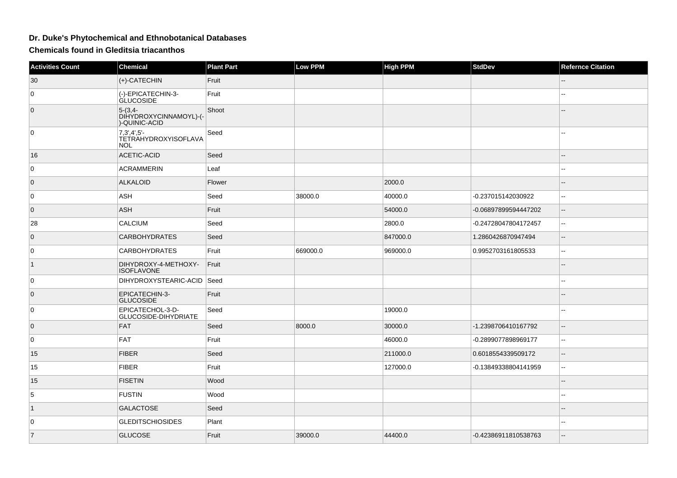## **Dr. Duke's Phytochemical and Ethnobotanical Databases**

**Chemicals found in Gleditsia triacanthos**

| <b>Activities Count</b> | <b>Chemical</b>                                            | <b>Plant Part</b> | <b>Low PPM</b> | <b>High PPM</b> | <b>StdDev</b>        | <b>Refernce Citation</b>                      |
|-------------------------|------------------------------------------------------------|-------------------|----------------|-----------------|----------------------|-----------------------------------------------|
| 30                      | $(+)$ -CATECHIN                                            | Fruit             |                |                 |                      |                                               |
| 0                       | (-)-EPICATECHIN-3-<br><b>GLUCOSIDE</b>                     | Fruit             |                |                 |                      | --                                            |
| $\overline{0}$          | $5-(3,4-$<br>DIHYDROXYCINNAMOYL)-(-<br>)-QUINIC-ACID       | Shoot             |                |                 |                      |                                               |
| 0                       | $7,3',4',5'-$<br><b>TETRAHYDROXYISOFLAVA</b><br><b>NOL</b> | Seed              |                |                 |                      |                                               |
| 16                      | <b>ACETIC-ACID</b>                                         | Seed              |                |                 |                      |                                               |
| $\mathbf 0$             | <b>ACRAMMERIN</b>                                          | Leaf              |                |                 |                      |                                               |
| $\overline{0}$          | <b>ALKALOID</b>                                            | Flower            |                | 2000.0          |                      | --                                            |
| $\mathbf 0$             | ASH                                                        | Seed              | 38000.0        | 40000.0         | -0.237015142030922   | ÷÷                                            |
| $\overline{0}$          | <b>ASH</b>                                                 | Fruit             |                | 54000.0         | -0.06897899594447202 | $-$                                           |
| 28                      | <b>CALCIUM</b>                                             | Seed              |                | 2800.0          | -0.24728047804172457 | $\sim$                                        |
| $\overline{0}$          | <b>CARBOHYDRATES</b>                                       | Seed              |                | 847000.0        | 1.2860426870947494   | $\mathord{\hspace{1pt}\text{--}\hspace{1pt}}$ |
| 0                       | <b>CARBOHYDRATES</b>                                       | Fruit             | 669000.0       | 969000.0        | 0.9952703161805533   | 44                                            |
| $\vert$ 1               | DIHYDROXY-4-METHOXY-<br><b>ISOFLAVONE</b>                  | Fruit             |                |                 |                      |                                               |
| 0                       | DIHYDROXYSTEARIC-ACID Seed                                 |                   |                |                 |                      | ٠.                                            |
| $\overline{0}$          | EPICATECHIN-3-<br><b>GLUCOSIDE</b>                         | Fruit             |                |                 |                      |                                               |
| 0                       | EPICATECHOL-3-D-<br>GLUCOSIDE-DIHYDRIATE                   | Seed              |                | 19000.0         |                      |                                               |
| $\overline{0}$          | FAT                                                        | Seed              | 8000.0         | 30000.0         | -1.2398706410167792  | $-$                                           |
| 0                       | <b>FAT</b>                                                 | Fruit             |                | 46000.0         | -0.2899077898969177  | $\sim$                                        |
| 15                      | <b>FIBER</b>                                               | Seed              |                | 211000.0        | 0.6018554339509172   | $\overline{\phantom{a}}$                      |
| 15                      | <b>FIBER</b>                                               | Fruit             |                | 127000.0        | -0.13849338804141959 | ÷÷                                            |
| 15                      | <b>FISETIN</b>                                             | Wood              |                |                 |                      |                                               |
| 5                       | <b>FUSTIN</b>                                              | Wood              |                |                 |                      | 4                                             |
| $\vert$ 1               | <b>GALACTOSE</b>                                           | Seed              |                |                 |                      |                                               |
| 0                       | <b>GLEDITSCHIOSIDES</b>                                    | Plant             |                |                 |                      |                                               |
| $\overline{7}$          | <b>GLUCOSE</b>                                             | Fruit             | 39000.0        | 44400.0         | -0.42386911810538763 | --                                            |